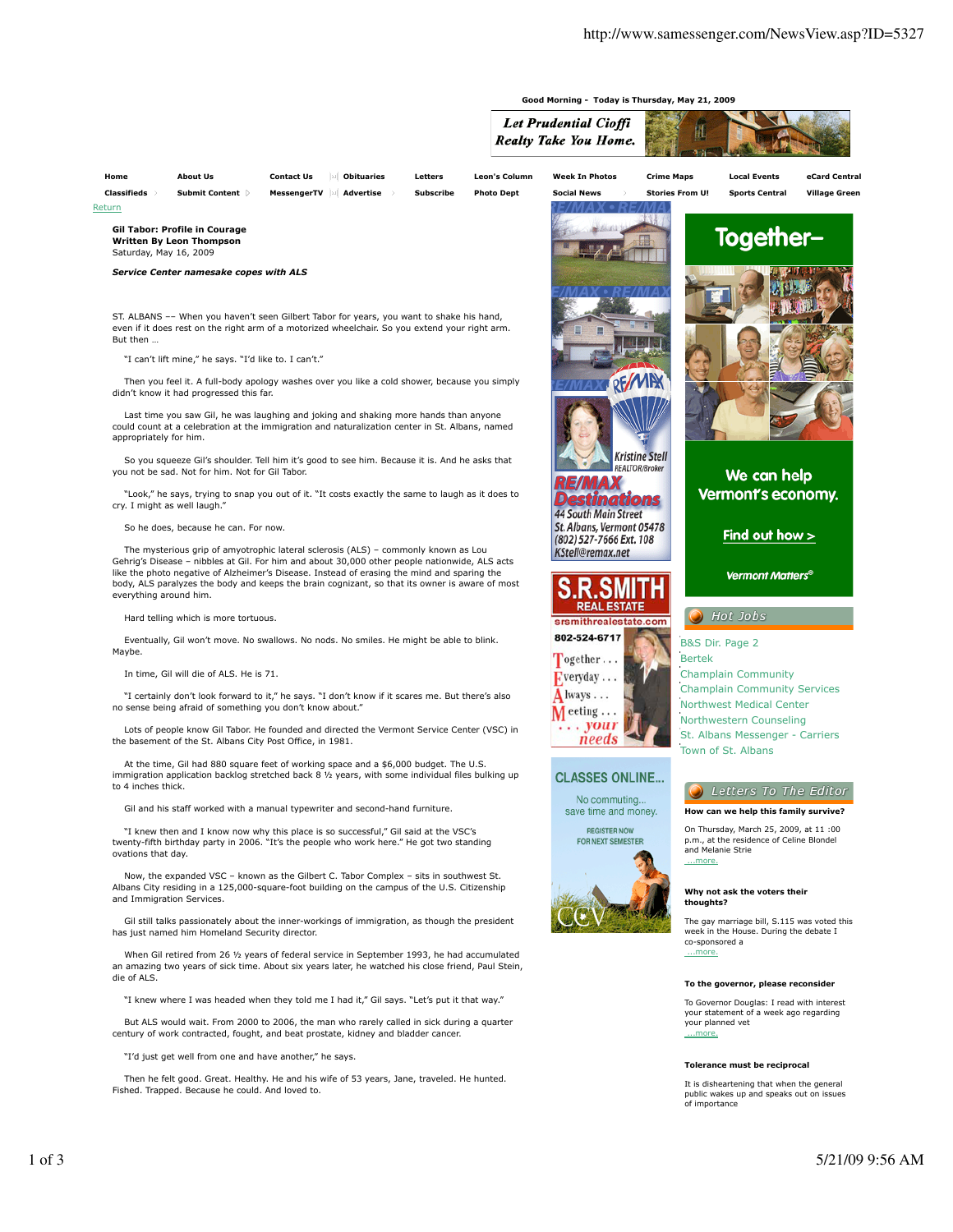

Return